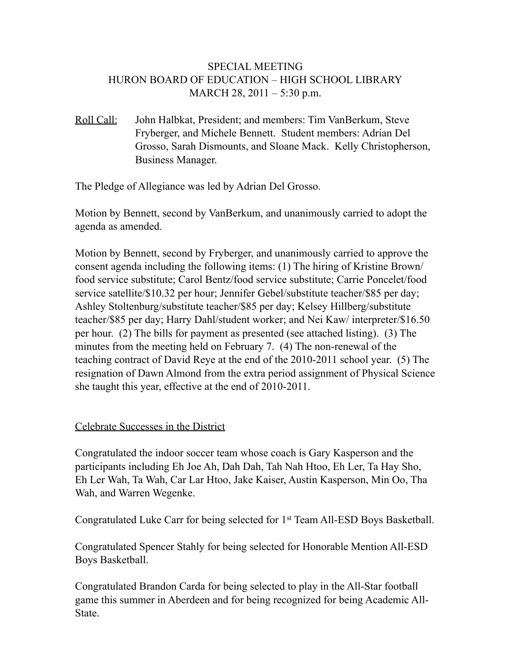# SPECIAL MEETING HURON BOARD OF EDUCATION – HIGH SCHOOL LIBRARY MARCH 28, 2011 – 5:30 p.m.

Roll Call: John Halbkat, President; and members: Tim VanBerkum, Steve Fryberger, and Michele Bennett. Student members: Adrian Del Grosso, Sarah Dismounts, and Sloane Mack. Kelly Christopherson, Business Manager.

The Pledge of Allegiance was led by Adrian Del Grosso.

Motion by Bennett, second by VanBerkum, and unanimously carried to adopt the agenda as amended.

Motion by Bennett, second by Fryberger, and unanimously carried to approve the consent agenda including the following items: (1) The hiring of Kristine Brown/ food service substitute; Carol Bentz/food service substitute; Carrie Poncelet/food service satellite/\$10.32 per hour; Jennifer Gebel/substitute teacher/\$85 per day; Ashley Stoltenburg/substitute teacher/\$85 per day; Kelsey Hillberg/substitute teacher/\$85 per day; Harry Dahl/student worker; and Nei Kaw/ interpreter/\$16.50 per hour. (2) The bills for payment as presented (see attached listing). (3) The minutes from the meeting held on February 7. (4) The non-renewal of the teaching contract of David Reye at the end of the 2010-2011 school year. (5) The resignation of Dawn Almond from the extra period assignment of Physical Science she taught this year, effective at the end of 2010-2011.

## Celebrate Successes in the District

Congratulated the indoor soccer team whose coach is Gary Kasperson and the participants including Eh Joe Ah, Dah Dah, Tah Nah Htoo, Eh Ler, Ta Hay Sho, Eh Ler Wah, Ta Wah, Car Lar Htoo, Jake Kaiser, Austin Kasperson, Min Oo, Tha Wah, and Warren Wegenke.

Congratulated Luke Carr for being selected for 1st Team All-ESD Boys Basketball.

Congratulated Spencer Stahly for being selected for Honorable Mention All-ESD Boys Basketball.

Congratulated Brandon Carda for being selected to play in the All-Star football game this summer in Aberdeen and for being recognized for being Academic All-State.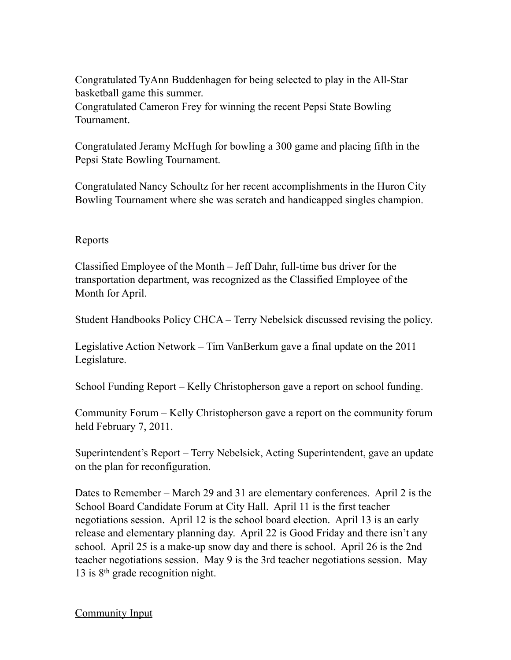Congratulated TyAnn Buddenhagen for being selected to play in the All-Star basketball game this summer. Congratulated Cameron Frey for winning the recent Pepsi State Bowling Tournament.

Congratulated Jeramy McHugh for bowling a 300 game and placing fifth in the Pepsi State Bowling Tournament.

Congratulated Nancy Schoultz for her recent accomplishments in the Huron City Bowling Tournament where she was scratch and handicapped singles champion.

#### **Reports**

Classified Employee of the Month – Jeff Dahr, full-time bus driver for the transportation department, was recognized as the Classified Employee of the Month for April.

Student Handbooks Policy CHCA – Terry Nebelsick discussed revising the policy.

Legislative Action Network – Tim VanBerkum gave a final update on the 2011 Legislature.

School Funding Report – Kelly Christopherson gave a report on school funding.

Community Forum – Kelly Christopherson gave a report on the community forum held February 7, 2011.

Superintendent's Report – Terry Nebelsick, Acting Superintendent, gave an update on the plan for reconfiguration.

Dates to Remember – March 29 and 31 are elementary conferences. April 2 is the School Board Candidate Forum at City Hall. April 11 is the first teacher negotiations session. April 12 is the school board election. April 13 is an early release and elementary planning day. April 22 is Good Friday and there isn't any school. April 25 is a make-up snow day and there is school. April 26 is the 2nd teacher negotiations session. May 9 is the 3rd teacher negotiations session. May 13 is 8th grade recognition night.

## Community Input